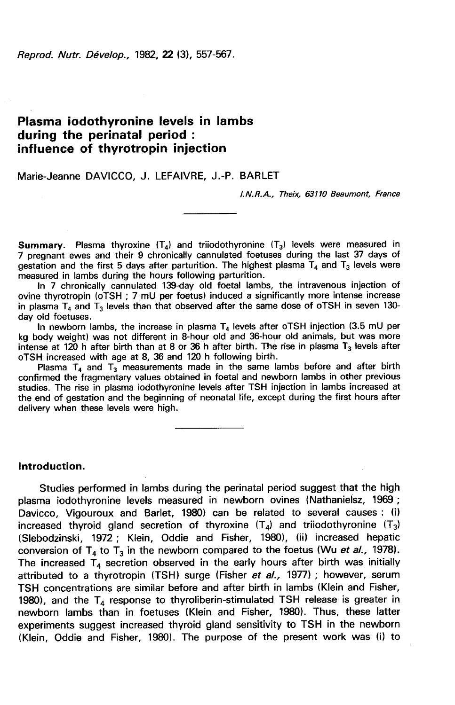Reprod. Nutr. Dévelop., 1982, 22 (3), 557-567.

# Plasma iodothyronine levels in lambs during the perinatal period : influence of thyrotropin injection

Marie-Jeanne DAVICCO, J. LEFAIVRE, J.-P. BARLET

I.N.R.A., Theix, 63110 Beaumont, France

**Summary.** Plasma thyroxine  $(T_4)$  and triiodothyronine  $(T_3)$  levels were measured in 7 pregnant ewes and their 9 chronically cannulated foetuses during the last 37 days of gestation and the first 5 days after parturition. The highest plasma  $T_4$  and  $T_3$  levels were measured in lambs during the hours following parturition.

In 7 chronically cannulated 139-day old foetal lambs, the intravenous injection of ovine thyrotropin (oTSH ; 7 mU per foetus) induced a significantly more intense increase in plasma  $T_4$  and  $T_3$  levels than that observed after the same dose of oTSH in seven 130day old foetuses.

In newborn lambs, the increase in plasma  $T_4$  levels after oTSH injection (3.5 mU per kg body weight) was not different in 8-hour old and 36-hour old animals, but was more intense at 120 h after birth than at 8 or 36 h after birth. The rise in plasma  $T_3$  levels after oTSH increased with age at 8, 36 and 120 h following birth.

Plasma  $T_4$  and  $T_3$  measurements made in the same lambs before and after birth confirmed the fragmentary values obtained in foetal and newborn lambs in other previous studies. The rise in plasma iodothyronine levels after TSH injection in lambs increased at the end of gestation and the beginning of neonatal life, except during the first hours after delivery when these levels were high.

### Introduction.

Studies performed in lambs during the perinatal period suggest that the high plasma iodothyronine levels measured in newborn ovines (Nathanielsz, 1969 ; Davicco, Vigouroux and Barlet, 1980) can be related to several causes : (i) increased thyroid gland secretion of thyroxine  $(T_4)$  and triiodothyronine  $(T_3)$ (Slebodzinski, 1972 ; Klein, Oddie and Fisher, 1980), (ii) increased hepatic conversion of  $T_4$  to  $T_3$  in the newborn compared to the foetus (Wu et al., 1978). The increased  $T_4$  secretion observed in the early hours after birth was initially attributed to a thyrotropin (TSH) surge (Fisher et al., 1977) ; however, serum TSH concentrations are similar before and after birth in lambs (Klein and Fisher, 1980), and the  $T_4$  response to thyroliberin-stimulated TSH release is greater in newborn lambs than in foetuses (Klein and Fisher, 1980). Thus, these latter experiments suggest increased thyroid gland sensitivity to TSH in the newborn (Klein, Oddie and Fisher, 1980). The purpose of the present work was (i) to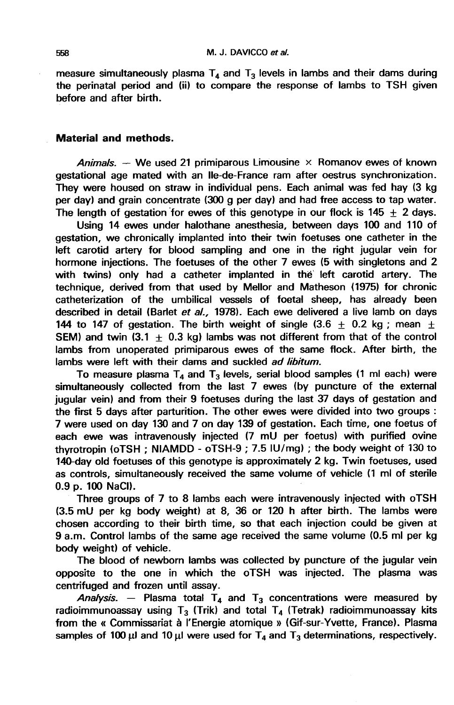measure simultaneously plasma  $T_4$  and  $T_3$  levels in lambs and their dams during the perinatal period and (ii) to compare the response of lambs to TSH given before and after birth.

## Material and methods.

Animals. — We used 21 primiparous Limousine  $\times$  Romanov ewes of known gestational age mated with an Ile-de-France ram after oestrus synchronization. They were housed on straw in individual pens. Each animal was fed hay (3 kg per day) and grain concentrate (300 g per day) and had free access to tap water. The length of gestation for ewes of this genotype in our flock is  $145 + 2$  days.

Using 14 ewes under halothane anesthesia, between days 100 and 110 of gestation, we chronically implanted into their twin foetuses one catheter in the left carotid artery for blood sampling and one in the right jugular vein for hormone injections. The foetuses of the other 7 ewes (5 with singletons and 2 with twins) only had a catheter implanted in the left carotid artery. The technique, derived from that used by Mellor and Matheson (1975) for chronic catheterization of the umbilical vessels of foetal sheep, has already been described in detail (Barlet et al., 1978). Each ewe delivered a live lamb on days 144 to 147 of gestation. The birth weight of single (3.6  $\pm$  0.2 kg; mean  $\pm$ SEM) and twin  $(3.1 + 0.3 \text{ kd})$  lambs was not different from that of the control lambs from unoperated primiparous ewes of the same flock. After birth, the lambs were left with their dams and suckled *ad libitum*.

To measure plasma  $T_4$  and  $T_3$  levels, serial blood samples (1 ml each) were simultaneously collected from the last 7 ewes (by puncture of the external jugular vein) and from their 9 foetuses during the last 37 days of gestation and the first 5 days after parturition. The other ewes were divided into two groups : 7 were used on day 130 and 7 on day 139 of gestation. Each time, one foetus of each ewe was intravenously injected (7 mU per foetus) with purified ovine thyrotropin (oTSH ; NIAMDD - oTSH-9 ; 7.5 IU/mg) ; the body weight of 130 to 140-day old foetuses of this genotype is approximately 2 kg. Twin foetuses, used as controls, simultaneously received the same volume of vehicle (1 mi of sterile 0.9 p. 100 NaCI).

Three groups of 7 to 8 lambs each were intravenously injected with oTSH (3.5 mU per kg body weight) at 8, 36 or 120 h after birth. The lambs were chosen according to their birth time, so that each injection could be given at 9 a.m. Control lambs of the same age received the same volume (0.5 mi per kg body weight) of vehicle.

The blood of newborn lambs was collected by puncture of the jugular vein opposite to the one in which the oTSH was injected. The plasma was centrifuged and frozen until assay.

Analysis. – Plasma total  $T_4$  and  $T_3$  concentrations were measured by radioimmunoassay using  $T_3$  (Trik) and total  $T_4$  (Tetrak) radioimmunoassay kits from the « Commissariat à I'Energie atomique » (Gif-sur-Yvette, France). Plasma samples of 100  $\mu$ l and 10  $\mu$ l were used for T<sub>4</sub> and T<sub>3</sub> determinations, respectively.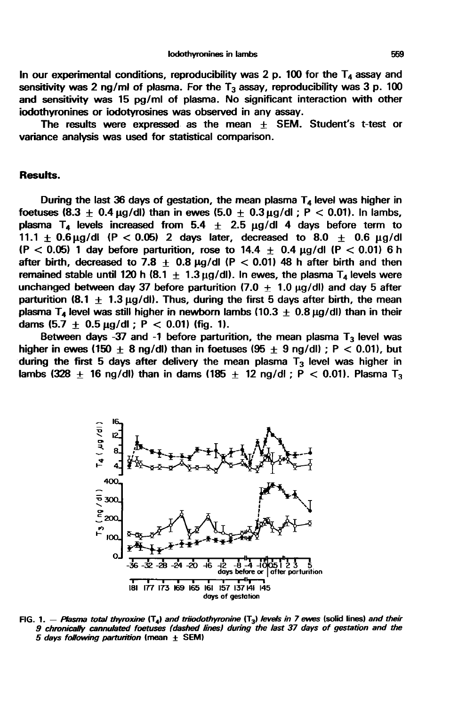In our experimental conditions, reproducibility was 2 p. 100 for the  $T_A$  assay and sensitivity was 2 ng/ml of plasma. For the  $T_3$  assay, reproducibility was 3 p. 100 and sensitivity was 15 pg/ml of plasma. No significant interaction with other iodothyronines or iodotyrosines was observed in any assay.

The results were expressed as the mean + SEM. Student's t-test or variance analysis was used for statistical comparison.

## Results.

During the last 36 days of gestation, the mean plasma  $T<sub>4</sub>$  level was higher in foetuses (8.3  $\pm$  0.4 µg/dl) than in ewes (5.0  $\pm$  0.3 µg/dl ; P < 0.01). In lambs, plasma T<sub>4</sub> levels increased from 5.4  $\pm$  2.5 µg/dl 4 days before term to 11.1  $\pm$  0.6 ug/dl (P < 0.05) 2 days later, decreased to 8.0  $\pm$  0.6 ug/dl (P  $<$  0.05) 1 day before parturition, rose to 14.4  $\pm$  0.4  $\mu$ g/dl (P  $<$  0.01) 6 h 11.1  $\pm$  0.6  $\mu$ g/dl (P < 0.05) 2 days later, decreased to 8.0  $\pm$  0.6  $\mu$ g/dl (P < 0.05) 1 day before parturition, rose to 14.4  $\pm$  0.4  $\mu$ g/dl (P < 0.01) 6 h after birth, decreased to 7.8  $\pm$  0.8  $\mu$ g/dl (P < 0. after birth, decreased to 7.8  $\pm$  0.8  $\mu$ g/dl (P < 0.01) 48 h after birth and then remained stable until 120 h (8.1  $\pm$  1.3  $\mu$ g/dl). In ewes, the plasma T<sub>4</sub> levels were unchanged between day 37 before parturition (7.0  $\pm$  1.0  $\mu$ g/dl) and day 5 after parturition (8.1  $\pm$  1.3  $\mu$ g/di). Thus, during the first 5 days after birth, the mean plasma T<sub>4</sub> level was still higher in newborn lambs (10.3  $\pm$  0.8  $\mu$ g/dl) than in their dams  $(5.7 \pm 0.5 \,\mu g/d$  ; P < 0.01) (fig. 1).

Between days -37 and -1 before parturition, the mean plasma  $T_3$  level was higher in ewes (150  $\pm$  8 ng/dl) than in foetuses (95  $\pm$  9 ng/dl); P < 0.01), but during the first 5 days after delivery the mean plasma  $T_3$  level was higher in lambs (328 + 16 ng/dl) than in dams (185 + 12 ng/dl ; P < 0.01). Plasma T<sub>3</sub>



FIG. 1. - Plasma total thyroxine  $(T_4)$  and triiodothyronine  $(T_3)$  levels in 7 ewes (solid lines) and their 9 chronically cannulated foetuses (dashed lines) during the last 37 days of gestation and the 5 days following parturition (mean  $\pm$  SEM)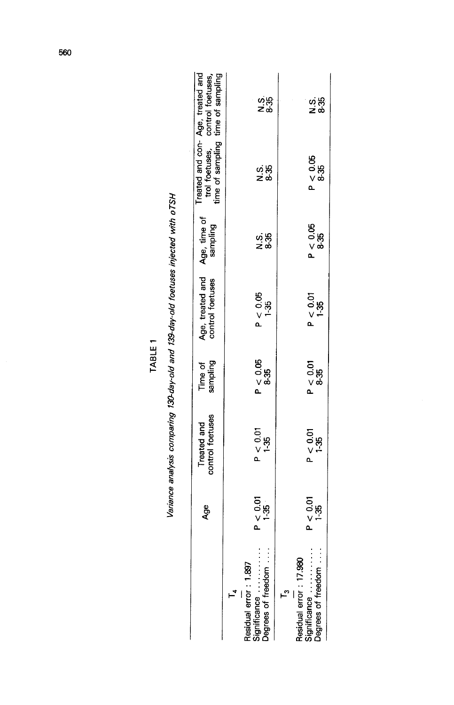|                                                              | Age              | Treated and<br>control foetuses | Time of<br>sampling    | Age, treated and<br>control foetuses | Age, time of<br>sampling |                        | Treated and con-Age, treated and<br>trol foetuses, control foetuses,<br>time of sampling time of sampling |
|--------------------------------------------------------------|------------------|---------------------------------|------------------------|--------------------------------------|--------------------------|------------------------|-----------------------------------------------------------------------------------------------------------|
|                                                              |                  |                                 |                        |                                      |                          |                        |                                                                                                           |
| Degrees of freedom.<br>Residual error: 1.897<br>Significance | P < 0.01<br>1-35 | $P < 0.01$<br>1-35              | P < 0.95<br>⊗35<br>®35 | $P < 0.05$<br>1-35                   | ය සි<br>තර               | ა.<br>∠ ფ<br>×         | ပ္မံမိ<br>≃∞                                                                                              |
| <u>ო</u>                                                     |                  |                                 |                        |                                      |                          |                        |                                                                                                           |
| Degrees of freedom<br>Residual error: 17.980<br>Significance | P < 0.01         | $P < 0.01$<br>1-35              | P < 0.01<br>%35        | P < 0.01                             | $P < 0.05$<br>8-35       | P < 0.05<br>%35<br>%35 | sis<br>Z∞                                                                                                 |
|                                                              |                  |                                 |                        |                                      |                          |                        |                                                                                                           |

TABLE 1

Variance analysis comparing 130-day-old and 139-day-old foetuses injected with oTSH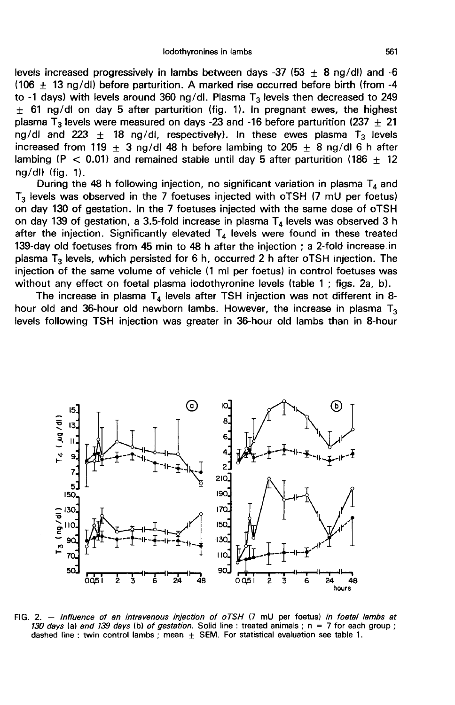levels increased progressively in lambs between days -37 (53  $\pm$  8 ng/dl) and -6 (106  $\pm$  13 ng/dl) before parturition. A marked rise occurred before birth (from -4 to -1 days) with levels around 360 ng/dl. Plasma  $T_3$  levels then decreased to 249  $\pm$  61 ng/dl on day 5 after parturition (fig. 1). In pregnant ewes, the highest plasma T<sub>3</sub> levels were measured on days -23 and -16 before parturition (237  $\pm$  21 ng/dl and 223  $\pm$  18 ng/dl, respectively). In these ewes plasma T<sub>3</sub> levels increased from 119  $\pm$  3 ng/dl 48 h before lambing to 205  $\pm$  8 ng/dl 6 h after lambing (P < 0.01) and remained stable until day 5 after parturition (186  $\pm$  12 ng/dl) (fig. 1).

During the 48 h following injection, no significant variation in plasma  $T_4$  and  $T<sub>3</sub>$  levels was observed in the 7 foetuses injected with oTSH (7 mU per foetus) on day 130 of gestation. In the 7 foetuses injected with the same dose of oTSH on day 139 of gestation, a 3.5-fold increase in plasma  $T_4$  levels was observed 3 h after the injection. Significantly elevated  $T_4$  levels were found in these treated 139-day old foetuses from 45 min to 48 h after the injection ; a 2-fold increase in plasma  $T_3$  levels, which persisted for 6 h, occurred 2 h after oTSH injection. The injection of the same volume of vehicle (1 mi per foetus) in control foetuses was without any effect on foetal plasma iodothyronine levels (table 1; figs. 2a, b).

The increase in plasma  $T_4$  levels after TSH injection was not different in 8hour old and 36-hour old newborn lambs. However, the increase in plasma  $T_3$ levels following TSH injection was greater in 36-hour old lambs than in 8-hour



FIG. 2. - Influence of an intravenous injection of oTSH (7 mU per foetus) in foetal lambs at 130 days (a) and 139 days (b) of gestation. Solid line : treated animals ;  $n = 7$  for each group ; dashed line : twin control lambs ; mean  $\pm$  SEM. For statistical evaluation see table 1.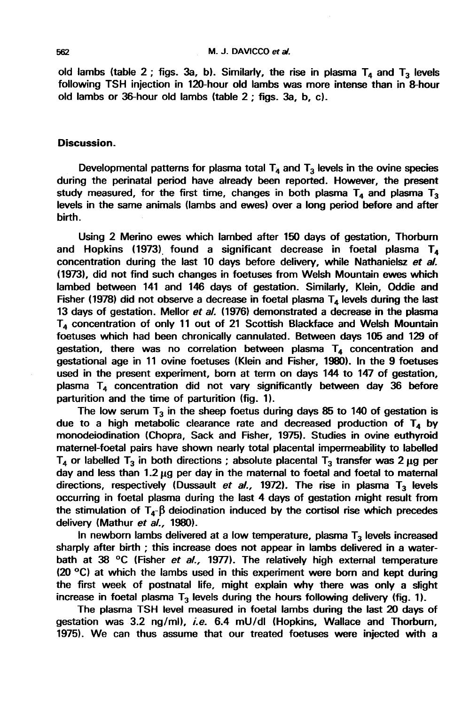old lambs (table 2; figs. 3a, b). Similarly, the rise in plasma  $T_4$  and  $T_3$  levels following TSH injection in 120-hour old lambs was more intense than in 8-hour old lambs or 36-hour old lambs (table 2 ; figs. 3a, b, c).

## Discussion.

Developmental patterns for plasma total  $T_4$  and  $T_3$  levels in the ovine species during the perinatal period have already been reported. However, the present study measured, for the first time, changes in both plasma  $T_4$  and plasma  $T_3$ levels in the same animals (lambs and ewes) over a long period before and after birth.

Using 2 Merino ewes which lambed after 150 days of gestation, Thorburn and Hopkins (1973) found a significant decrease in foetal plasma  $T_4$ concentration during the last 10 days before delivery, while Nathanielsz et al. (1973), did not find such changes in foetuses from Welsh Mountain ewes which lambed between 141 and 146 days of gestation. Similarly, Klein, Oddie and Fisher (1978) did not observe a decrease in foetal plasma  $T<sub>4</sub>$  levels during the last 13 days of gestation. Mellor et al. (1976) demonstrated a decrease in the plasma  $T<sub>4</sub>$  concentration of only 11 out of 21 Scottish Blackface and Welsh Mountain foetuses which had been chronically cannulated. Between days 105 and 129 of gestation, there was no correlation between plasma  $T<sub>4</sub>$  concentration and gestational age in 11 ovine foetuses (Klein and Fisher, 1980). In the 9 foetuses used in the present experiment, born at term on days 144 to 147 of gestation, plasma  $T<sub>4</sub>$  concentration did not vary significantly between day 36 before parturition and the time of parturition (fig. 1).

The low serum  $T_3$  in the sheep foetus during days 85 to 140 of gestation is due to a high metabolic clearance rate and decreased production of  $T<sub>4</sub>$  by monodeiodination (Chopra, Sack and Fisher, 1975). Studies in ovine euthyroid maternel-foetal pairs have shown nearly total placental impermeability to labelled<br>T<sub>4</sub> or labelled T<sub>3</sub> in both directions ; absolute placental T<sub>3</sub> transfer was 2  $\mu$ g per day and less than  $1.2 \mu g$  per day in the maternal to foetal and foetal to maternal directions, respectively (Dussault et al., 1972). The rise in plasma  $T_3$  levels occurring in foetal plasma during the last 4 days of gestation might result from the stimulation of  $T_4$ - $\beta$  deiodination induced by the cortisol rise which precedes delivery (Mathur et al., 1980).

In newborn lambs delivered at a low temperature, plasma  $T_3$  levels increased sharply after birth ; this increase does not appear in lambs delivered in a waterbath at 38 °C (Fisher et al., 1977). The relatively high external temperature  $(20 \degree C)$  at which the lambs used in this experiment were born and kept during the first week of postnatal life, might explain why there was only a slight increase in foetal plasma  $T_3$  levels during the hours following delivery (fig. 1).

The plasma TSH level measured in foetal lambs during the last 20 days of gestation was 3.2 ng/ml), i.e. 6.4 mU/dl (Hopkins, Wallace and Thorburn, 1975). We can thus assume that our treated foetuses were injected with a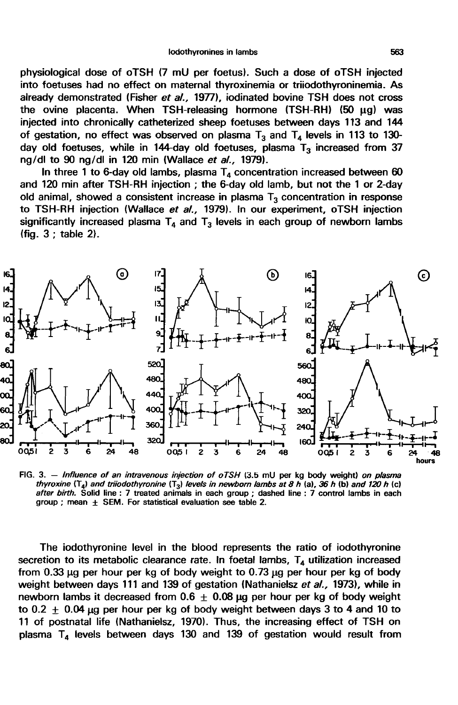physiological dose of oTSH (7 mU per foetus). Such a dose of oTSH injected into foetuses had no effect on maternal thyroxinemia or triiodothyroninemia. As already demonstrated (Fisher et al., 1977), iodinated bovine TSH does not cross the ovine placenta. When TSH-releasing hormone (TSH-RH) (50 µg) was injected into chronically catheterized sheep foetuses between days 113 and 144 of gestation, no effect was observed on plasma  $T_3$  and  $T_4$  levels in 113 to 130day old foetuses, while in 144-day old foetuses, plasma  $T_3$  increased from 37 ng/dl to 90 ng/dl in 120 min (Wallace et al., 1979).

In three 1 to 6-day old lambs, plasma  $T<sub>4</sub>$  concentration increased between 60 and 120 min after TSH-RH injection ; the 6-day old lamb, but not the 1 or 2-day old animal, showed a consistent increase in plasma  $T_3$  concentration in response to TSH-RH injection (Wallace et al., 1979). In our experiment, oTSH injection significantly increased plasma  $T_4$  and  $T_3$  levels in each group of newborn lambs (fig. 3 ; table 2).



FIG. 3. - Influence of an intravenous injection of  $oTSH$  (3.5 mU per kg body weight) on plasma thyroxine  $(T<sub>a</sub>)$  and triiodothyronine  $(T<sub>3</sub>)$  levels in newborn lambs at 8 h (a), 36 h (b) and 120 h (c) after birth. Solid line : 7 treated animals in each group ; dashed line : 7 control lambs in each group ; mean  $\pm$  SEM. For statistical evaluation see table 2.

The iodothyronine level in the blood represents the ratio of iodothyronine secretion to its metabolic clearance rate. In foetal lambs,  $T<sub>4</sub>$  utilization increased from  $0.33 \mu g$  per hour per kg of body weight to  $0.73 \mu g$  per hour per kg of body weight between days 111 and 139 of gestation (Nathanielsz et al., 1973), while in newborn lambs it decreased from  $0.6 + 0.08$  µg per hour per kg of body weight to 0.2  $\pm$  0.04  $\mu$ g per hour per kg of body weight between days 3 to 4 and 10 to 11 of postnatal life (Nathanielsz, 1970). Thus, the increasing effect of TSH on plasma  $T_4$  levels between days 130 and 139 of gestation would result from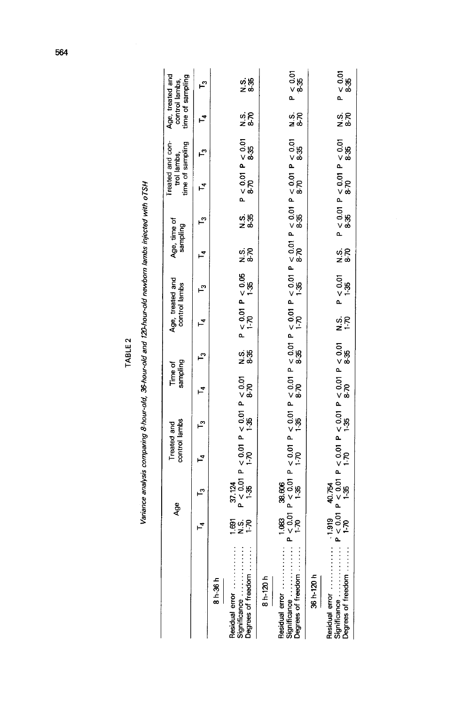| ິ<br>TABLE.<br>ļ |  |
|------------------|--|
|                  |  |

| $\ddot{\phantom{0}}$<br>j |
|---------------------------|
|                           |
|                           |
|                           |
|                           |
| ֕                         |
| i                         |
|                           |

|                                                      |                   | Age                                                                                                                                                        | control lambs<br>Treated and | Time of<br>sampling |   |           | Age, treated and<br>control lambs              | Age, time of<br>sampling |               | Treated and con-<br>time of sampling<br>trol lambs,                                                                                                                                                                 |          | Age, treated and<br>control lambs, | time of sampling         |
|------------------------------------------------------|-------------------|------------------------------------------------------------------------------------------------------------------------------------------------------------|------------------------------|---------------------|---|-----------|------------------------------------------------|--------------------------|---------------|---------------------------------------------------------------------------------------------------------------------------------------------------------------------------------------------------------------------|----------|------------------------------------|--------------------------|
|                                                      |                   | $\tilde{\mathbf{c}}$                                                                                                                                       | Ľ                            | ⊨ี                  | Ľ |           | مب                                             | 7                        | مبا           |                                                                                                                                                                                                                     | <u>ຕ</u> | $\overline{\mathbf{z}}$            | m                        |
| $8h-36h$                                             |                   |                                                                                                                                                            |                              |                     |   |           |                                                |                          |               |                                                                                                                                                                                                                     |          |                                    |                          |
| Degrees of freedom<br>Residual error<br>Significance | ទ្ធិ ១ R<br>- Z - | $\begin{array}{lll} 37.124 & & \\ \text{P} < 0.01 & \text{P} < 0.01 & \text{P} < 0.01 & \text{P} < 0.01 \\ 1.35 & & 1.70 & & 1.35 & & 8-70 \\ \end{array}$ |                              |                     |   |           | N.S. $P < 0.01 P < 0.05$<br>8-35 $1-70$ $1-35$ | ss<br>z`⊗                | လဲဆို<br>သော် | $P < 0.01$ $P < 0.01$<br>8-70 8-35                                                                                                                                                                                  |          | sis<br>≥∞                          | sig<br>Na                |
| $8 h - 120 h$                                        |                   |                                                                                                                                                            |                              |                     |   |           |                                                |                          |               |                                                                                                                                                                                                                     |          |                                    |                          |
| Degrees of freedom<br>Significance<br>Residual error |                   |                                                                                                                                                            |                              |                     |   |           |                                                |                          |               | 1.083 38.606<br>P< 0.01 P< 0.01 P< 0.01 P< 0.01 P< 0.01 P< 0.01 P< 0.01 P< 0.01 P< 0.01 P< 0.01 P< 0.01 P< 0.01<br>P< 0.01 P< 0.01 P< 0.01 P< 0.01<br>P< 0.01 P< 0.01 P< 0.01<br>P< 0.01 P< 0.01<br>P< 0.01 P< 0.01 |          | ∡.<br>≥ ಹಿ                         | P < 0.01<br>8-35<br>9-35 |
| 36 h-120 h                                           |                   |                                                                                                                                                            |                              |                     |   |           |                                                |                          |               |                                                                                                                                                                                                                     |          |                                    |                          |
| Degrees of freedom<br>Significance                   |                   | -1.919 40.754<br>P < 0.01 P < 0.01 P < 0.01 P < 0.01 P < 0.01<br>P < 0.01 P < 0.01 P < 0.01 P < 0.01<br>P < 0.01 P < 0.01<br>P < 0.01 P < 0.01             |                              |                     |   | si<br>2-P | $P < 0.01$<br>$1-35$                           | sis<br>zo                |               | $P < 0.01$ $P < 0.01$ $P < 0.01$<br>8-35 8-70 8-35                                                                                                                                                                  |          | sis<br>Sis                         | P < 0.01<br>8-35<br>8-35 |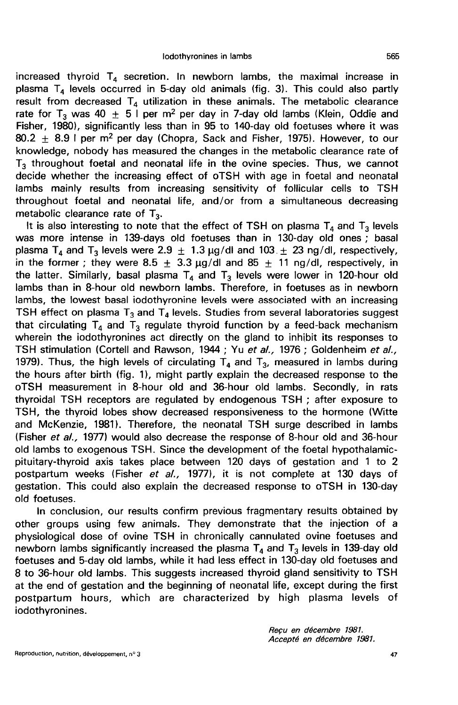increased thyroid  $T<sub>4</sub>$  secretion. In newborn lambs, the maximal increase in plasma  $T_4$  levels occurred in 5-day old animals (fig. 3). This could also partly result from decreased  $T_4$  utilization in these animals. The metabolic clearance rate for T<sub>3</sub> was 40  $\pm$  5 I per m<sup>2</sup> per day in 7-day old lambs (Klein, Oddie and Fisher, 1980), significantly less than in 95 to 140-day old foetuses where it was 80.2  $\pm$  8.9 I per m<sup>2</sup> per day (Chopra, Sack and Fisher, 1975). However, to our knowledge, nobody has measured the changes in the metabolic clearance rate of  $T<sub>3</sub>$  throughout foetal and neonatal life in the ovine species. Thus, we cannot decide whether the increasing effect of oTSH with age in foetal and neonatal lambs mainly results from increasing sensitivity of follicular cells to TSH throughout foetal and neonatal life, and/or from a simultaneous decreasing metabolic clearance rate of  $T_2$ .

It is also interesting to note that the effect of TSH on plasma  $T_4$  and  $T_3$  levels was more intense in 139-days old foetuses than in 130-day old ones ; basal It is also interesting to note that the effect of TSH on plasma  $T_4$  and  $T_3$  levels<br>was more intense in 139-days old foetuses than in 130-day old ones; basa<br>plasma  $T_4$  and  $T_3$  levels were  $2.9 \pm 1.3 \mu g/dl$  and  $103 \$ in the former ; they were 8.5  $\pm$  3.3  $\mu$ g/dl and 85  $\pm$  11 ng/dl, respectively, in the latter. Similarly, basal plasma  $T_4$  and  $T_3$  levels were lower in 120-hour old lambs than in 8-hour old newborn lambs. Therefore, in foetuses as in newborn lambs, the lowest basal iodothyronine levels were associated with an increasing TSH effect on plasma  $T_3$  and  $T_4$  levels. Studies from several laboratories suggest that circulating  $T_4$  and  $T_3$  regulate thyroid function by a feed-back mechanism wherein the iodothyronines act directly on the gland to inhibit its responses to TSH stimulation (Cortell and Rawson, 1944 ; Yu et al., 1976 ; Goldenheim et al., 1979). Thus, the high levels of circulating  $T_4$  and  $T_3$ , measured in lambs during the hours after birth (fig. 1), might partly explain the decreased response to the oTSH measurement in 8-hour old and 36-hour old lambs. Secondly, in rats thyroidal TSH receptors are regulated by endogenous TSH ; after exposure to TSH, the thyroid lobes show decreased responsiveness to the hormone (Witte and McKenzie, 1981). Therefore, the neonatal TSH surge described in lambs (Fisher et al., 1977) would also decrease the response of 8-hour old and 36-hour old lambs to exogenous TSH. Since the development of the foetal hypothalamicpituitary-thyroid axis takes place between 120 days of gestation and 1 to 2 postpartum weeks (Fisher et al., 1977), it is not complete at 130 days of gestation. This could also explain the decreased response to oTSH in 130-day old foetuses.

In conclusion, our results confirm previous fragmentary results obtained by other groups using few animals. They demonstrate that the injection of a physiological dose of ovine TSH in chronically cannulated ovine foetuses and newborn lambs significantly increased the plasma  $T_4$  and  $T_3$  levels in 139-day old foetuses and 5-day old lambs, while it had less effect in 130-day old foetuses and 8 to 36-hour old lambs. This suggests increased thyroid gland sensitivity to TSH at the end of gestation and the beginning of neonatal life, except during the first postpartum hours, which are characterized by high plasma levels of iodothyronines.

Reçu en décembre 1981.<br>Accepté en décembre 1981.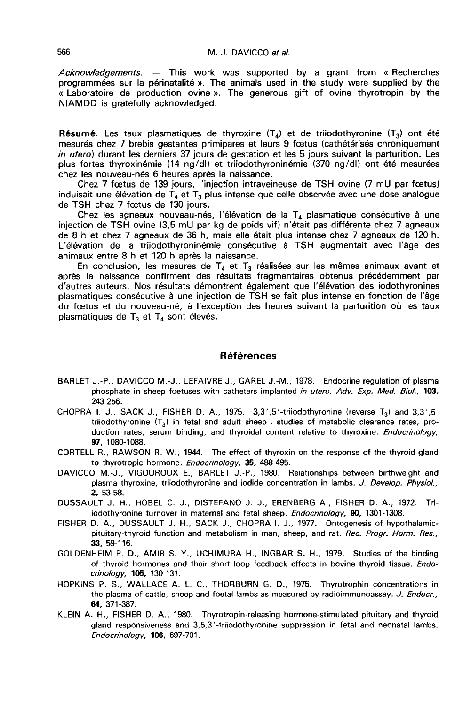Acknowledgements.  $-$  This work was supported by a grant from « Recherches programmées sur la périnatalité ». The animals used in the study were supplied by the « Laboratoire de production ovine ». The generous gift of ovine thyrotropin by the NIAMDD is gratefully acknowledged.

**Résumé.** Les taux plasmatiques de thyroxine  $(T_4)$  et de triiodothyronine  $(T_3)$  ont été mesurés chez 7 brebis gestantes primipares et leurs 9 foetus (cathétérisés chroniquement in utero) durant les derniers 37 jours de gestation et les 5 jours suivant la parturition. Les plus fortes thyroxinémie (14 ng/dl) et trüodothyroninémie (370 ng/dl) ont été mesurées chez les nouveau-nés 6 heures après la naissance.

Chez 7 foetus de 139 jours, l'injection intraveineuse de TSH ovine (7 mU par foetus) induisait une élévation de  $T_4$  et  $T_3$  plus intense que celle observée avec une dose analogue de TSH chez 7 fœtus de 130 jours.

Chez les agneaux nouveau-nés, l'élévation de la  $T_4$  plasmatique consécutive à une injection de TSH ovine (3,5 mU par kg de poids vif) n'était pas différente chez 7 agneaux de 8 h et chez 7 agneaux de 36 h, mais elle était plus intense chez 7 agneaux de 120 h. L'élévation de la trüodothyroninémie consécutive à TSH augmentait avec l'âge des animaux entre 8 h et 120 h après la naissance.

En conclusion, les mesures de  $T_4$  et  $T_3$  réalisées sur les mêmes animaux avant et après la naissance confirment des résultats fragmentaires obtenus précédemment par d'autres auteurs. Nos résultats démontrent également que l'élévation des iodothyronines plasmatiques consécutive à une injection de TSH se fait plus intense en fonction de l'âge du foetus et du nouveau-né, à l'exception des heures suivant la parturition où les taux plasmatiques de  $T_3$  et  $T_4$  sont élevés.

### Références

- BARLET J.-P., DAVICCO M.-J., LEFAIVRE J., GAREL J.-M., 1978. Endocrine regulation of plasma phosphate in sheep foetuses with catheters implanted in utero. Adv. Exp. Med. Biol., 103, 243-256.
- CHOPRA 1. J., SACK J., FISHER D. A., 1975.  $3.3'$ , 5'-triiodothyronine (reverse  $T_3$ ) and  $3.3'$ , 5triiodothyronine  $(T_3)$  in fetal and adult sheep : studies of metabolic clearance rates, production rates, serum binding, and thyroidal content relative to thyroxine. Endocrinology, 97, 1080-1088.
- CORTELL R., RAWSON R. W., 1944. The effect of thyroxin on the response of the thyroid gland to thyrotropic hormone. Endocrinology, 35, 488-495.
- DAVICCO M.-J., VIGOUROUX E., BARLET J.-P., 1980. Reiationships between birthweight and plasma thyroxine, triiodothyronine and iodide concentration in lambs. J. Develop. Physiol., 2, 53-58.
- DUSSAULT J. H., HOBEL C. J., DISTEFANO J. J., ERENBERG A., FISHER D. A., 1972. Triiodothyronine turnover in maternal and fetal sheep. Endocrinology, 90, 1301-1308.
- FISHER D. A., DUSSAULT J. H., SACK J., CHOPRA I. J., 1977. Ontogenesis of hypothalamicpituitary-thyroid function and metabolism in man, sheep, and rat. Rec. Progr. Horm. Res., 33, 59-116.
- GOLDENHEIM P. D., AMIR S. Y., UCHIMURA H., INGBAR S. H., 1979. Studies of the binding of thyroid hormones and their short loop feedback effects in bovine thyroid tissue. Endocrinology, 105, 130-131.
- HOPKINS P. S., WALLACE A. L. C., THORBURN G. D., 1975. Thyrotrophin concentrations in the plasma of cattle, sheep and foetal lambs as measured by radioimmunoassay. J. Endocr., 64, 371-387.
- KLEIN A. H., FISHER D. A., 1980. Thyrotropin-releasing hormone-stimulated pituitary and thyroid gland responsiveness and 3,5,3'-triiodothyronine suppression in fetal and neonatal lambs.  $Endocrinology, 106, 697-701.$